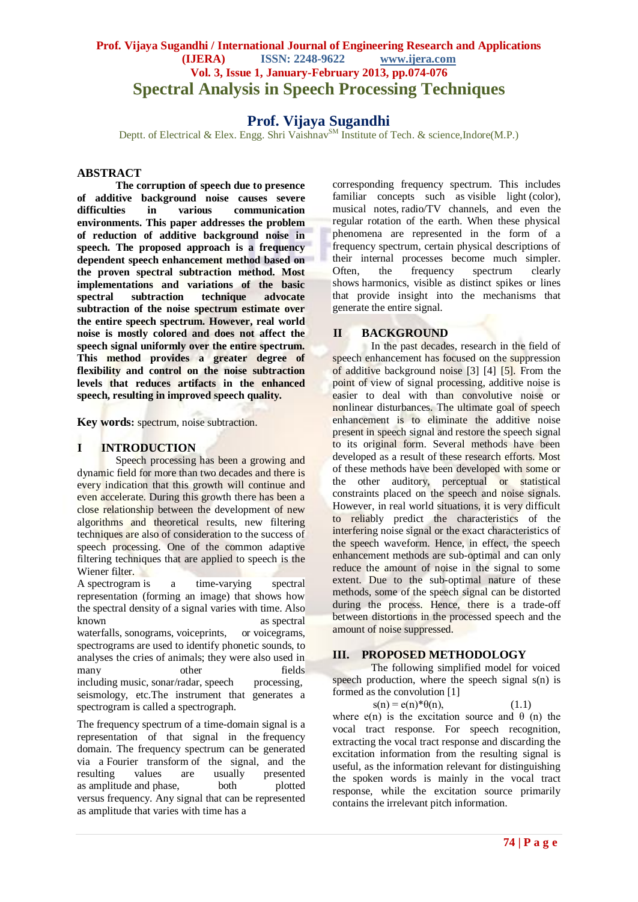# **Prof. Vijaya Sugandhi / International Journal of Engineering Research and Applications (IJERA) ISSN: 2248-9622 www.ijera.com Vol. 3, Issue 1, January-February 2013, pp.074-076 Spectral Analysis in Speech Processing Techniques**

# **Prof. Vijaya Sugandhi**

Deptt. of Electrical & Elex. Engg. Shri Vaishnav<sup>SM</sup> Institute of Tech. & science, Indore(M.P.)

#### **ABSTRACT**

**The corruption of speech due to presence of additive background noise causes severe in** various communication **environments. This paper addresses the problem of reduction of additive background noise in speech. The proposed approach is a frequency dependent speech enhancement method based on the proven spectral subtraction method. Most implementations and variations of the basic spectral subtraction technique advocate subtraction of the noise spectrum estimate over the entire speech spectrum. However, real world noise is mostly colored and does not affect the speech signal uniformly over the entire spectrum. This method provides a greater degree of flexibility and control on the noise subtraction levels that reduces artifacts in the enhanced speech, resulting in improved speech quality.**

**Key words:** spectrum, noise subtraction.

### **I INTRODUCTION**

Speech processing has been a growing and dynamic field for more than two decades and there is every indication that this growth will continue and even accelerate. During this growth there has been a close relationship between the development of new algorithms and theoretical results, new filtering techniques are also of consideration to the success of speech processing. One of the common adaptive filtering techniques that are applied to speech is the Wiener filter.

A spectrogram is a time-varying spectral representation (forming an image) that shows how the [spectral density](http://en.wikipedia.org/wiki/Spectral_density) of a signal varies with time. Also known as spectral as spectral waterfalls, sonograms, voiceprints, or voicegrams, spectrograms are used to identify [phonetic](http://en.wikipedia.org/wiki/Phonetics) sounds, to analyses the cries of animals; they were also used in many other fields including [music,](http://en.wikipedia.org/wiki/Music) [sonar](http://en.wikipedia.org/wiki/Sonar)[/radar,](http://en.wikipedia.org/wiki/Radar) [speech processing,](http://en.wikipedia.org/wiki/Speech_processing) [seismology,](http://en.wikipedia.org/wiki/Seismology) etc.The instrument that generates a spectrogram is called a [spectrograph.](http://en.wikipedia.org/wiki/Spectrograph)

The frequency spectrum of a time-domain [signal](http://en.wikipedia.org/wiki/Signal_(electronics)) is a representation of that signal in the [frequency](http://en.wikipedia.org/wiki/Frequency_domain)  [domain.](http://en.wikipedia.org/wiki/Frequency_domain) The frequency spectrum can be generated via a [Fourier transform](http://en.wikipedia.org/wiki/Fourier_transform) of the signal, and the resulting values are usually presented resulting values are usually presented as [amplitude](http://en.wikipedia.org/wiki/Amplitude) and [phase,](http://en.wikipedia.org/wiki/Phase_(waves)) both plotted versus [frequency.](http://en.wikipedia.org/wiki/Frequency) Any signal that can be represented as amplitude that varies with time has a

corresponding frequency spectrum. This includes familiar concepts such as [visible light](http://en.wikipedia.org/wiki/Visible_light) [\(color\)](http://en.wikipedia.org/wiki/Color), musical notes, [radio/TV channels,](http://en.wikipedia.org/wiki/Radio_frequency) and even the regular rotation of the earth. When these physical phenomena are represented in the form of a frequency spectrum, certain physical descriptions of their internal processes become much simpler. Often, the frequency spectrum clearly shows [harmonics,](http://en.wikipedia.org/wiki/Harmonics) visible as distinct spikes or lines that provide insight into the mechanisms that generate the entire signal.

#### **II BACKGROUND**

In the past decades, research in the field of speech enhancement has focused on the suppression of additive background noise [3] [4] [5]. From the point of view of signal processing, additive noise is easier to deal with than convolutive noise or nonlinear disturbances. The ultimate goal of speech enhancement is to eliminate the additive noise present in speech signal and restore the speech signal to its original form. Several methods have been developed as a result of these research efforts. Most of these methods have been developed with some or the other auditory, perceptual or statistical constraints placed on the speech and noise signals. However, in real world situations, it is very difficult to reliably predict the characteristics of the interfering noise signal or the exact characteristics of the speech waveform. Hence, in effect, the speech enhancement methods are sub-optimal and can only reduce the amount of noise in the signal to some extent. Due to the sub-optimal nature of these methods, some of the speech signal can be distorted during the process. Hence, there is a trade-off between distortions in the processed speech and the amount of noise suppressed.

#### **III. PROPOSED METHODOLOGY**

The following simplified model for voiced speech production, where the speech signal  $s(n)$  is formed as the convolution [1]

$$
s(n) = e(n) * \theta(n), \qquad (1.1)
$$

where  $e(n)$  is the excitation source and  $\theta$  (n) the vocal tract response. For speech recognition, extracting the vocal tract response and discarding the excitation information from the resulting signal is useful, as the information relevant for distinguishing the spoken words is mainly in the vocal tract response, while the excitation source primarily contains the irrelevant pitch information.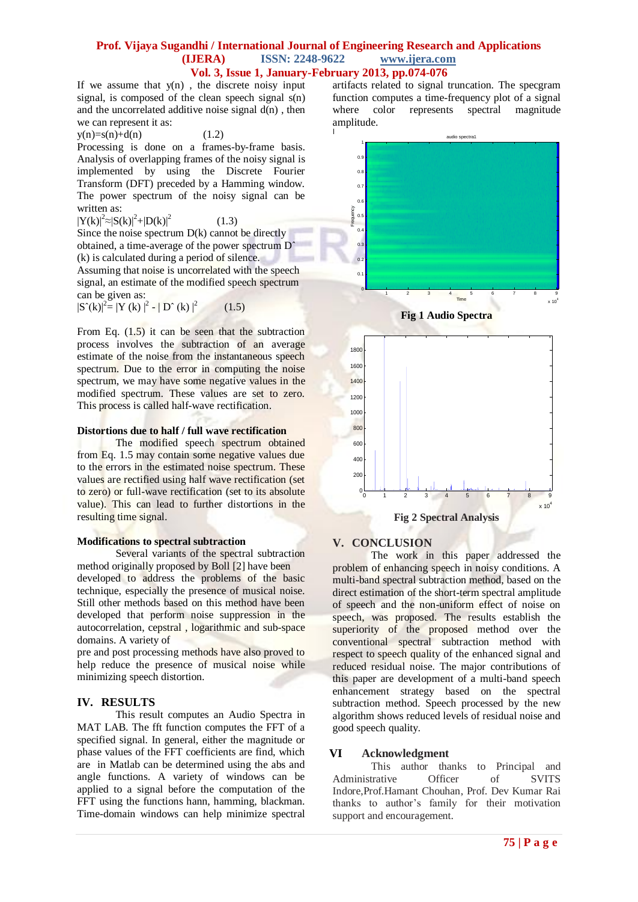#### **Prof. Vijaya Sugandhi / International Journal of Engineering Research and Applications (IJERA) ISSN: 2248-9622 www.ijera.com Vol. 3, Issue 1, January-February 2013, pp.074-076**

If we assume that  $y(n)$ , the discrete noisy input signal, is composed of the clean speech signal s(n) and the uncorrelated additive noise signal  $d(n)$ , then we can represent it as:

 $y(n)=s(n)+d(n)$  (1.2)

Processing is done on a frames-by-frame basis. Analysis of overlapping frames of the noisy signal is implemented by using the Discrete Fourier Transform (DFT) preceded by a Hamming window. The power spectrum of the noisy signal can be written as:

 $|Y(k)|^2 \approx |S(k)|^2 + |D(k)|^2$ (1.3)

Since the noise spectrum  $D(k)$  cannot be directly obtained, a time-average of the power spectrum Dˆ (k) is calculated during a period of silence.

Assuming that noise is uncorrelated with the speech signal, an estimate of the modified speech spectrum can be given as:

 $|S^{(k)}|^2 = |Y(k)|^2 - |D^{(k)}|^2$  $(1.5)$ 

From Eq.  $(1.5)$  it can be seen that the subtraction process involves the subtraction of an average estimate of the noise from the instantaneous speech spectrum. Due to the error in computing the noise spectrum, we may have some negative values in the modified spectrum. These values are set to zero. This process is called half-wave rectification.

#### **Distortions due to half / full wave rectification**

The modified speech spectrum obtained from Eq. 1.5 may contain some negative values due to the errors in the estimated noise spectrum. These values are rectified using half wave rectification (set to zero) or full-wave rectification (set to its absolute value). This can lead to further distortions in the resulting time signal.

#### **Modifications to spectral subtraction**

Several variants of the spectral subtraction method originally proposed by Boll [2] have been developed to address the problems of the basic technique, especially the presence of musical noise. Still other methods based on this method have been developed that perform noise suppression in the autocorrelation, cepstral , logarithmic and sub-space domains. A variety of

pre and post processing methods have also proved to help reduce the presence of musical noise while minimizing speech distortion.

# **IV. RESULTS**

This result computes an Audio Spectra in MAT LAB. The fft function computes the FFT of a specified signal. In general, either the magnitude or phase values of the FFT coefficients are find, which are in Matlab can be determined using the abs and angle functions. A variety of windows can be applied to a signal before the computation of the FFT using the functions hann, hamming, blackman. Time-domain windows can help minimize spectral artifacts related to signal truncation. The specgram function computes a time-frequency plot of a signal where color represents spectral magnitude amplitude.







# **V. CONCLUSION**

The work in this paper addressed the problem of enhancing speech in noisy conditions. A multi-band spectral subtraction method, based on the direct estimation of the short-term spectral amplitude of speech and the non-uniform effect of noise on speech, was proposed. The results establish the superiority of the proposed method over the conventional spectral subtraction method with respect to speech quality of the enhanced signal and reduced residual noise. The major contributions of this paper are development of a multi-band speech enhancement strategy based on the spectral subtraction method. Speech processed by the new algorithm shows reduced levels of residual noise and good speech quality.

#### **VI Acknowledgment**

This author thanks to Principal and Administrative Officer of SVITS Indore,Prof.Hamant Chouhan, Prof. Dev Kumar Rai thanks to author's family for their motivation support and encouragement.